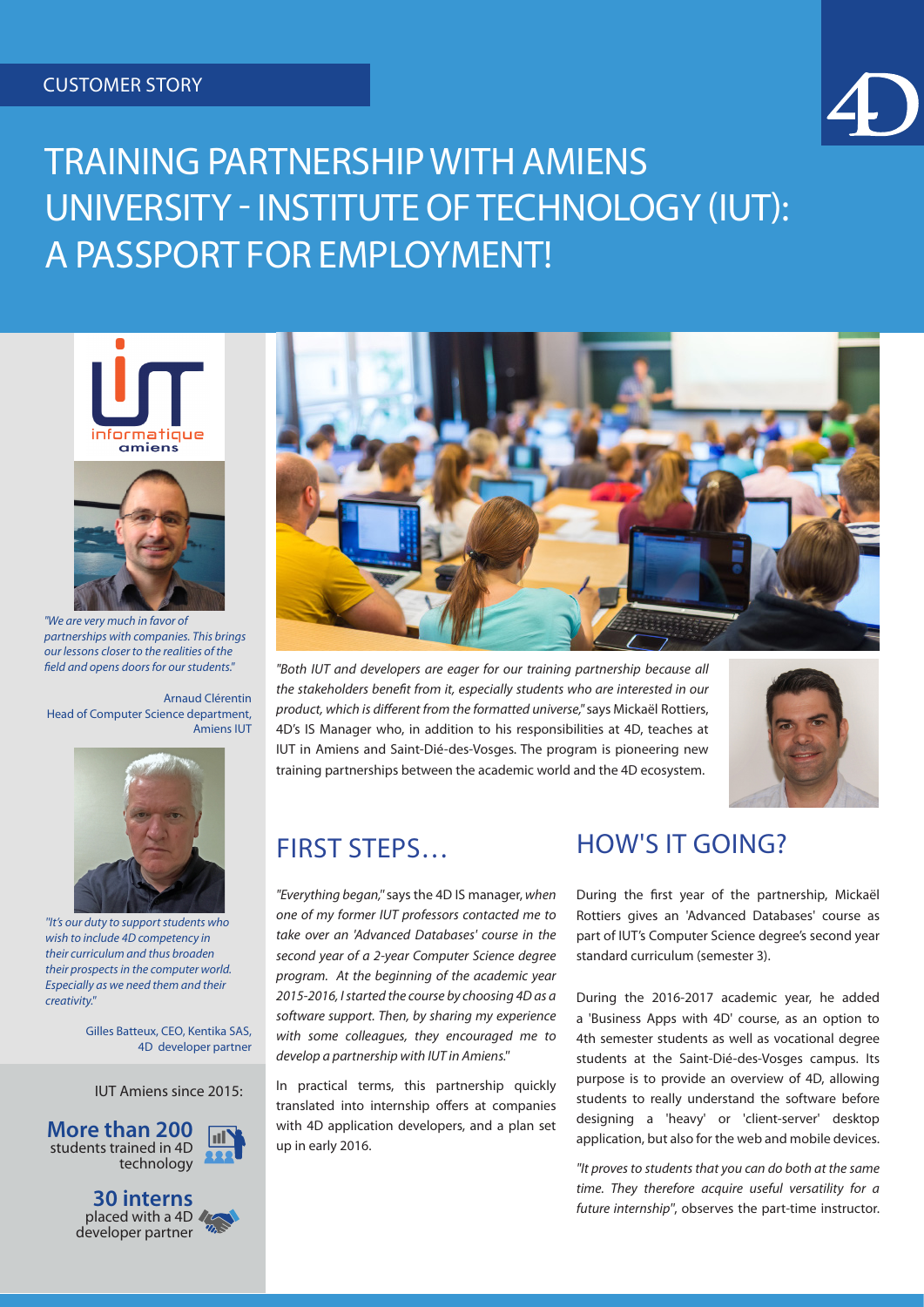### CUSTOMER STORY



# TRAINING PARTNERSHIP WITH AMIENS UNIVERSITY - INSTITUTE OF TECHNOLOGY (IUT): A PASSPORT FOR EMPLOYMENT!





*"We are very much in favor of partnerships with companies. This brings our lessons closer to the realities of the field and opens doors for our students."*

Arnaud Clérentin Head of Computer Science department, Amiens IUT



*''It's our duty to support students who wish to include 4D competency in their curriculum and thus broaden their prospects in the computer world. Especially as we need them and their creativity.''*

> Gilles Batteux, CEO, Kentika SAS, 4D developer partner

IUT Amiens since 2015:



**30 interns** placed with a 4D developer partner



*"Both IUT and developers are eager for our training partnership because all the stakeholders benefit from it, especially students who are interested in our product, which is different from the formatted universe,"* says Mickaël Rottiers, 4D's IS Manager who, in addition to his responsibilities at 4D, teaches at IUT in Amiens and Saint-Dié-des-Vosges. The program is pioneering new training partnerships between the academic world and the 4D ecosystem.



### FIRST STEPS…

*"Everything began,''* says the 4D IS manager, *when one of my former IUT professors contacted me to take over an 'Advanced Databases' course in the second year of a 2-year Computer Science degree program. At the beginning of the academic year 2015-2016, I started the course by choosing 4D as a software support. Then, by sharing my experience with some colleagues, they encouraged me to develop a partnership with IUT in Amiens.''*

In practical terms, this partnership quickly translated into internship offers at companies with 4D application developers, and a plan set up in early 2016.

### HOW'S IT GOING?

During the first year of the partnership, Mickaël Rottiers gives an 'Advanced Databases' course as part of IUT's Computer Science degree's second year standard curriculum (semester 3).

During the 2016-2017 academic year, he added a 'Business Apps with 4D' course, as an option to 4th semester students as well as vocational degree students at the Saint-Dié-des-Vosges campus. Its purpose is to provide an overview of 4D, allowing students to really understand the software before designing a 'heavy' or 'client-server' desktop application, but also for the web and mobile devices.

*''It proves to students that you can do both at the same time. They therefore acquire useful versatility for a future internship''*, observes the part-time instructor.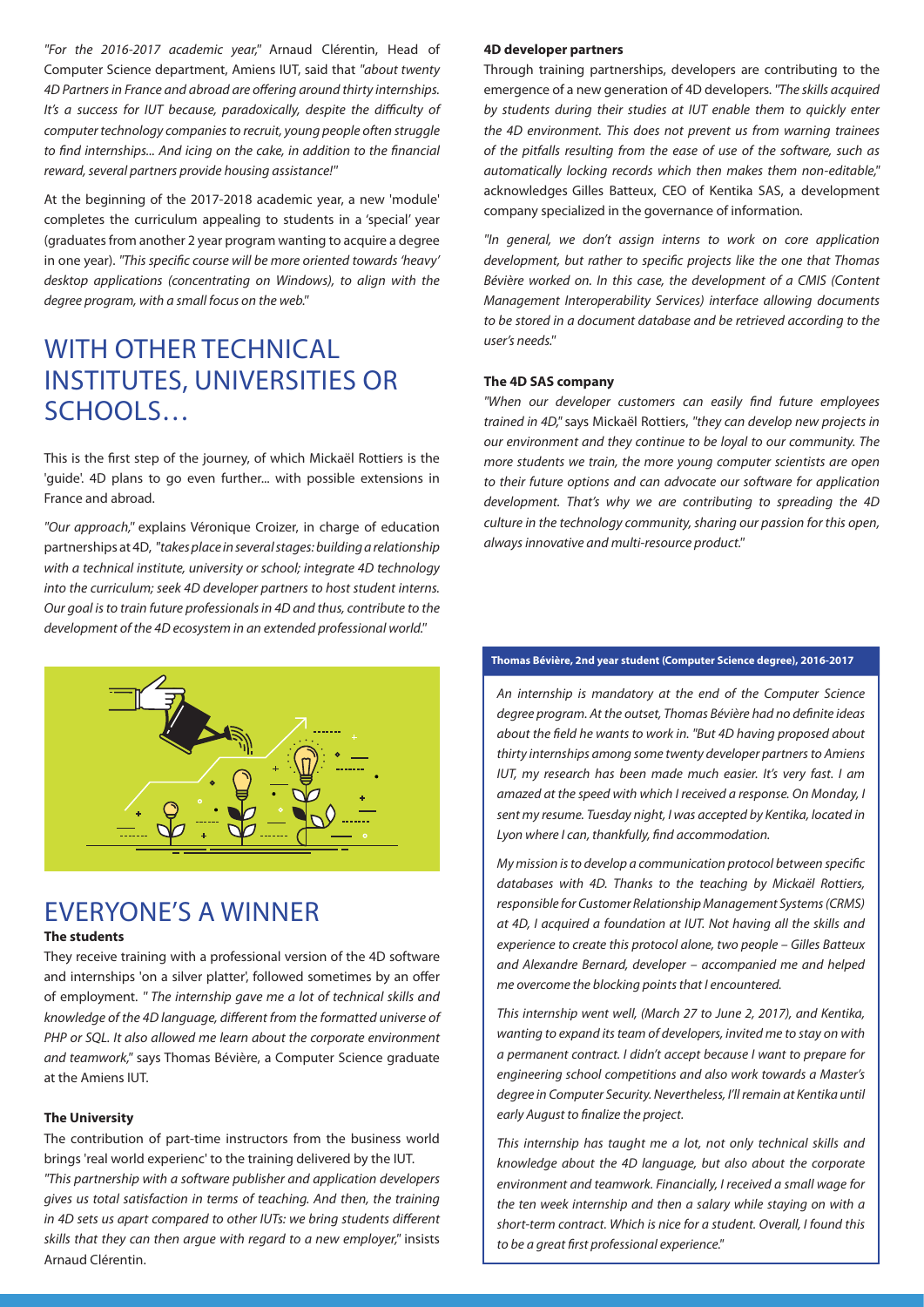*''For the 2016-2017 academic year,''* Arnaud Clérentin, Head of Computer Science department, Amiens IUT, said that *''about twenty 4D Partners in France and abroad are offering around thirty internships. It's a success for IUT because, paradoxically, despite the difficulty of computer technology companies to recruit, young people often struggle to find internships... And icing on the cake, in addition to the financial reward, several partners provide housing assistance!''*

At the beginning of the 2017-2018 academic year, a new 'module' completes the curriculum appealing to students in a 'special' year (graduates from another 2 year program wanting to acquire a degree in one year). *''This specific course will be more oriented towards 'heavy' desktop applications (concentrating on Windows), to align with the degree program, with a small focus on the web.''*

### WITH OTHER TECHNICAL INSTITUTES, UNIVERSITIES OR SCHOOLS…

This is the first step of the journey, of which Mickaël Rottiers is the 'guide'. 4D plans to go even further... with possible extensions in France and abroad.

*''Our approach,''* explains Véronique Croizer, in charge of education partnerships at 4D, *''takes place in several stages: building a relationship with a technical institute, university or school; integrate 4D technology into the curriculum; seek 4D developer partners to host student interns. Our goal is to train future professionals in 4D and thus, contribute to the development of the 4D ecosystem in an extended professional world.''* 



### EVERYONE'S A WINNER

#### **The students**

They receive training with a professional version of the 4D software and internships 'on a silver platter', followed sometimes by an offer of employment. *'' The internship gave me a lot of technical skills and knowledge of the 4D language, different from the formatted universe of PHP or SQL. It also allowed me learn about the corporate environment and teamwork,''* says Thomas Bévière, a Computer Science graduate at the Amiens IUT.

#### **The University**

The contribution of part-time instructors from the business world brings 'real world experienc' to the training delivered by the IUT. *''This partnership with a software publisher and application developers gives us total satisfaction in terms of teaching. And then, the training in 4D sets us apart compared to other IUTs: we bring students different skills that they can then argue with regard to a new employer,''* insists Arnaud Clérentin.

#### **4D developer partners**

Through training partnerships, developers are contributing to the emergence of a new generation of 4D developers. *''The skills acquired by students during their studies at IUT enable them to quickly enter the 4D environment. This does not prevent us from warning trainees of the pitfalls resulting from the ease of use of the software, such as automatically locking records which then makes them non-editable,''*  acknowledges Gilles Batteux, CEO of Kentika SAS, a development company specialized in the governance of information.

*''In general, we don't assign interns to work on core application development, but rather to specific projects like the one that Thomas Bévière worked on. In this case, the development of a CMIS (Content Management Interoperability Services) interface allowing documents to be stored in a document database and be retrieved according to the user's needs.''*

#### **The 4D SAS company**

*''When our developer customers can easily find future employees trained in 4D,"* says Mickaël Rottiers, *''they can develop new projects in our environment and they continue to be loyal to our community. The more students we train, the more young computer scientists are open to their future options and can advocate our software for application development. That's why we are contributing to spreading the 4D culture in the technology community, sharing our passion for this open, always innovative and multi-resource product.''*

#### **Thomas Bévière, 2nd year student (Computer Science degree), 2016-2017**

*An internship is mandatory at the end of the Computer Science degree program. At the outset, Thomas Bévière had no definite ideas about the field he wants to work in. ''But 4D having proposed about thirty internships among some twenty developer partners to Amiens IUT, my research has been made much easier. It's very fast. I am amazed at the speed with which I received a response. On Monday, I sent my resume. Tuesday night, I was accepted by Kentika, located in Lyon where I can, thankfully, find accommodation.*

*My mission is to develop a communication protocol between specific databases with 4D. Thanks to the teaching by Mickaël Rottiers, responsible for Customer Relationship Management Systems (CRMS) at 4D, I acquired a foundation at IUT. Not having all the skills and experience to create this protocol alone, two people – Gilles Batteux and Alexandre Bernard, developer – accompanied me and helped me overcome the blocking points that I encountered.*

*This internship went well, (March 27 to June 2, 2017), and Kentika, wanting to expand its team of developers, invited me to stay on with a permanent contract. I didn't accept because I want to prepare for engineering school competitions and also work towards a Master's degree in Computer Security. Nevertheless, I'll remain at Kentika until early August to finalize the project.*

*This internship has taught me a lot, not only technical skills and knowledge about the 4D language, but also about the corporate environment and teamwork. Financially, I received a small wage for the ten week internship and then a salary while staying on with a short-term contract. Which is nice for a student. Overall, I found this to be a great first professional experience."*